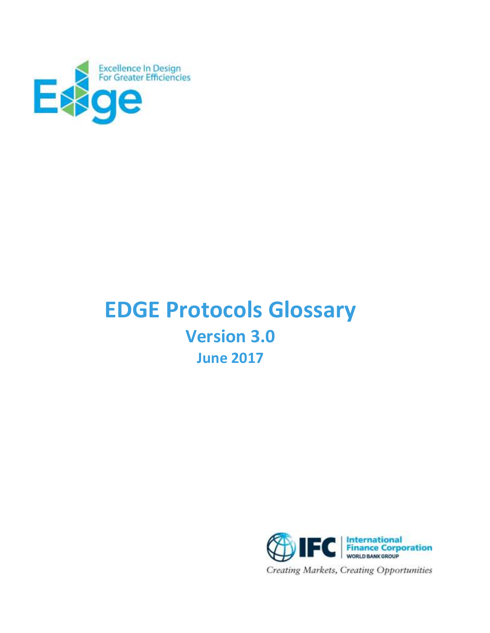

# **EDGE Protocols Glossary Version 3.0 June 2017**

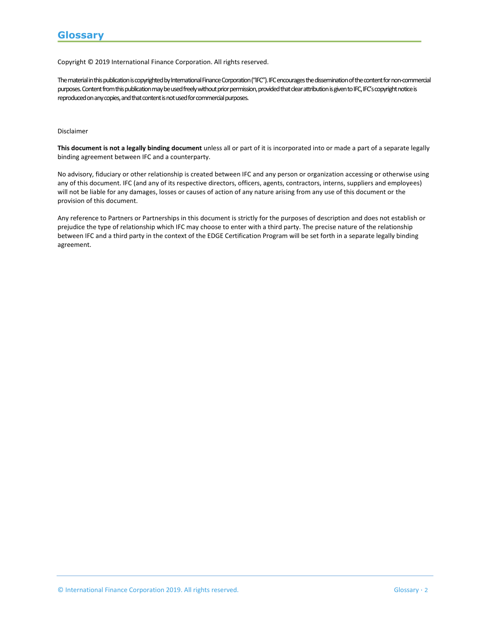Copyright © 2019 International Finance Corporation. All rights reserved.

The material in this publication is copyrighted by International Finance Corporation ("IFC"). IFC encourages the dissemination of the content for non-commercial purposes. Content from this publication may be used freely without prior permission, provided that clear attribution is given to IFC, IFC's copyright notice is reproduced on any copies, and that content is not used for commercial purposes.

#### Disclaimer

**This document is not a legally binding document** unless all or part of it is incorporated into or made a part of a separate legally binding agreement between IFC and a counterparty.

No advisory, fiduciary or other relationship is created between IFC and any person or organization accessing or otherwise using any of this document. IFC (and any of its respective directors, officers, agents, contractors, interns, suppliers and employees) will not be liable for any damages, losses or causes of action of any nature arising from any use of this document or the provision of this document.

Any reference to Partners or Partnerships in this document is strictly for the purposes of description and does not establish or prejudice the type of relationship which IFC may choose to enter with a third party. The precise nature of the relationship between IFC and a third party in the context of the EDGE Certification Program will be set forth in a separate legally binding agreement.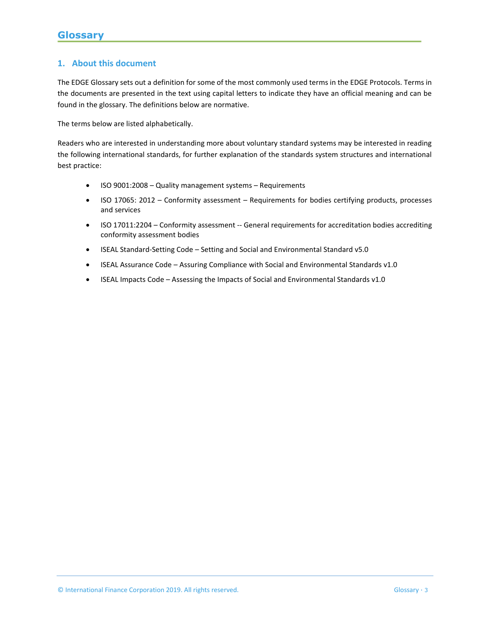# **1. About this document**

The EDGE Glossary sets out a definition for some of the most commonly used terms in the EDGE Protocols. Terms in the documents are presented in the text using capital letters to indicate they have an official meaning and can be found in the glossary. The definitions below are normative.

The terms below are listed alphabetically.

Readers who are interested in understanding more about voluntary standard systems may be interested in reading the following international standards, for further explanation of the standards system structures and international best practice:

- ISO 9001:2008 Quality management systems Requirements
- ISO 17065: 2012 Conformity assessment Requirements for bodies certifying products, processes and services
- ISO 17011:2204 Conformity assessment -- General requirements for accreditation bodies accrediting conformity assessment bodies
- ISEAL Standard-Setting Code Setting and Social and Environmental Standard v5.0
- ISEAL Assurance Code Assuring Compliance with Social and Environmental Standards v1.0
- ISEAL Impacts Code Assessing the Impacts of Social and Environmental Standards v1.0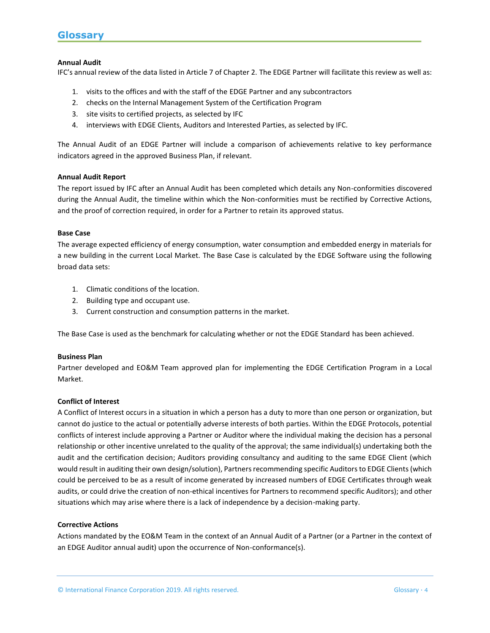# **Annual Audit**

IFC's annual review of the data listed in Article 7 of Chapter 2. The EDGE Partner will facilitate this review as well as:

- 1. visits to the offices and with the staff of the EDGE Partner and any subcontractors
- 2. checks on the Internal Management System of the Certification Program
- 3. site visits to certified projects, as selected by IFC
- 4. interviews with EDGE Clients, Auditors and Interested Parties, as selected by IFC.

The Annual Audit of an EDGE Partner will include a comparison of achievements relative to key performance indicators agreed in the approved Business Plan, if relevant.

#### **Annual Audit Report**

The report issued by IFC after an Annual Audit has been completed which details any Non-conformities discovered during the Annual Audit, the timeline within which the Non-conformities must be rectified by Corrective Actions, and the proof of correction required, in order for a Partner to retain its approved status.

#### **Base Case**

The average expected efficiency of energy consumption, water consumption and embedded energy in materials for a new building in the current Local Market. The Base Case is calculated by the EDGE Software using the following broad data sets:

- 1. Climatic conditions of the location.
- 2. Building type and occupant use.
- 3. Current construction and consumption patterns in the market.

The Base Case is used as the benchmark for calculating whether or not the EDGE Standard has been achieved.

#### **Business Plan**

Partner developed and EO&M Team approved plan for implementing the EDGE Certification Program in a Local Market.

#### **Conflict of Interest**

A Conflict of Interest occurs in a situation in which a person has a duty to more than one person or organization, but cannot do justice to the actual or potentially adverse interests of both parties. Within the EDGE Protocols, potential conflicts of interest include approving a Partner or Auditor where the individual making the decision has a personal relationship or other incentive unrelated to the quality of the approval; the same individual(s) undertaking both the audit and the certification decision; Auditors providing consultancy and auditing to the same EDGE Client (which would result in auditing their own design/solution), Partners recommending specific Auditors to EDGE Clients (which could be perceived to be as a result of income generated by increased numbers of EDGE Certificates through weak audits, or could drive the creation of non-ethical incentives for Partners to recommend specific Auditors); and other situations which may arise where there is a lack of independence by a decision-making party.

#### **Corrective Actions**

Actions mandated by the EO&M Team in the context of an Annual Audit of a Partner (or a Partner in the context of an EDGE Auditor annual audit) upon the occurrence of Non-conformance(s).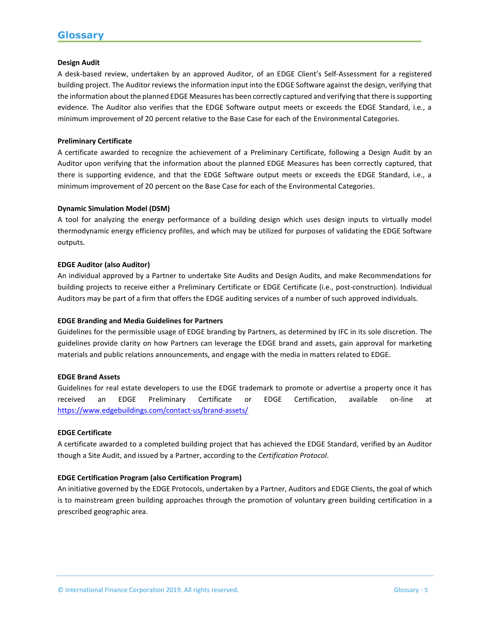### **Design Audit**

A desk-based review, undertaken by an approved Auditor, of an EDGE Client's Self-Assessment for a registered building project. The Auditor reviews the information input into the EDGE Software against the design, verifying that the information about the planned EDGE Measures has been correctly captured and verifying that there is supporting evidence. The Auditor also verifies that the EDGE Software output meets or exceeds the EDGE Standard, i.e., a minimum improvement of 20 percent relative to the Base Case for each of the Environmental Categories.

# **Preliminary Certificate**

A certificate awarded to recognize the achievement of a Preliminary Certificate, following a Design Audit by an Auditor upon verifying that the information about the planned EDGE Measures has been correctly captured, that there is supporting evidence, and that the EDGE Software output meets or exceeds the EDGE Standard, i.e., a minimum improvement of 20 percent on the Base Case for each of the Environmental Categories.

# **Dynamic Simulation Model (DSM)**

A tool for analyzing the energy performance of a building design which uses design inputs to virtually model thermodynamic energy efficiency profiles, and which may be utilized for purposes of validating the EDGE Software outputs.

#### **EDGE Auditor (also Auditor)**

An individual approved by a Partner to undertake Site Audits and Design Audits, and make Recommendations for building projects to receive either a Preliminary Certificate or EDGE Certificate (i.e., post-construction). Individual Auditors may be part of a firm that offers the EDGE auditing services of a number of such approved individuals.

# **EDGE Branding and Media Guidelines for Partners**

Guidelines for the permissible usage of EDGE branding by Partners, as determined by IFC in its sole discretion. The guidelines provide clarity on how Partners can leverage the EDGE brand and assets, gain approval for marketing materials and public relations announcements, and engage with the media in matters related to EDGE.

#### **EDGE Brand Assets**

Guidelines for real estate developers to use the EDGE trademark to promote or advertise a property once it has received an EDGE Preliminary Certificate or EDGE Certification, available on-line at <https://www.edgebuildings.com/contact-us/brand-assets/>

#### **EDGE Certificate**

A certificate awarded to a completed building project that has achieved the EDGE Standard, verified by an Auditor though a Site Audit, and issued by a Partner, according to the *Certification Protocol*.

# **EDGE Certification Program (also Certification Program)**

An initiative governed by the EDGE Protocols, undertaken by a Partner, Auditors and EDGE Clients, the goal of which is to mainstream green building approaches through the promotion of voluntary green building certification in a prescribed geographic area.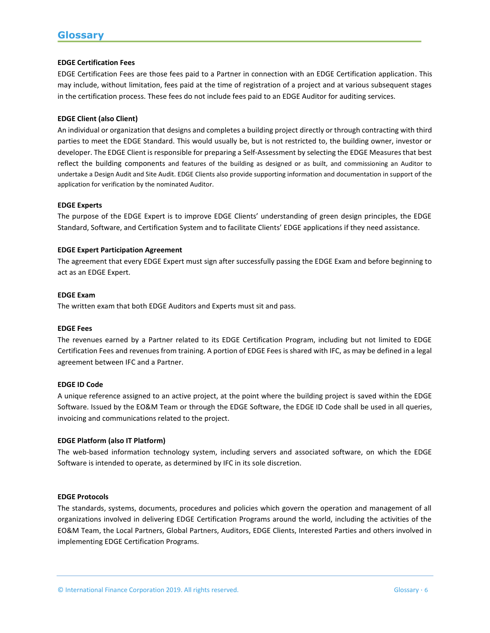# **EDGE Certification Fees**

EDGE Certification Fees are those fees paid to a Partner in connection with an EDGE Certification application. This may include, without limitation, fees paid at the time of registration of a project and at various subsequent stages in the certification process. These fees do not include fees paid to an EDGE Auditor for auditing services.

# **EDGE Client (also Client)**

An individual or organization that designs and completes a building project directly or through contracting with third parties to meet the EDGE Standard. This would usually be, but is not restricted to, the building owner, investor or developer. The EDGE Client is responsible for preparing a Self-Assessment by selecting the EDGE Measures that best reflect the building components and features of the building as designed or as built, and commissioning an Auditor to undertake a Design Audit and Site Audit. EDGE Clients also provide supporting information and documentation in support of the application for verification by the nominated Auditor.

#### **EDGE Experts**

The purpose of the EDGE Expert is to improve EDGE Clients' understanding of green design principles, the EDGE Standard, Software, and Certification System and to facilitate Clients' EDGE applications if they need assistance.

# **EDGE Expert Participation Agreement**

The agreement that every EDGE Expert must sign after successfully passing the EDGE Exam and before beginning to act as an EDGE Expert.

#### **EDGE Exam**

The written exam that both EDGE Auditors and Experts must sit and pass.

#### **EDGE Fees**

The revenues earned by a Partner related to its EDGE Certification Program, including but not limited to EDGE Certification Fees and revenues from training. A portion of EDGE Fees is shared with IFC, as may be defined in a legal agreement between IFC and a Partner.

#### **EDGE ID Code**

A unique reference assigned to an active project, at the point where the building project is saved within the EDGE Software. Issued by the EO&M Team or through the EDGE Software, the EDGE ID Code shall be used in all queries, invoicing and communications related to the project.

#### **EDGE Platform (also IT Platform)**

The web-based information technology system, including servers and associated software, on which the EDGE Software is intended to operate, as determined by IFC in its sole discretion.

#### **EDGE Protocols**

The standards, systems, documents, procedures and policies which govern the operation and management of all organizations involved in delivering EDGE Certification Programs around the world, including the activities of the EO&M Team, the Local Partners, Global Partners, Auditors, EDGE Clients, Interested Parties and others involved in implementing EDGE Certification Programs.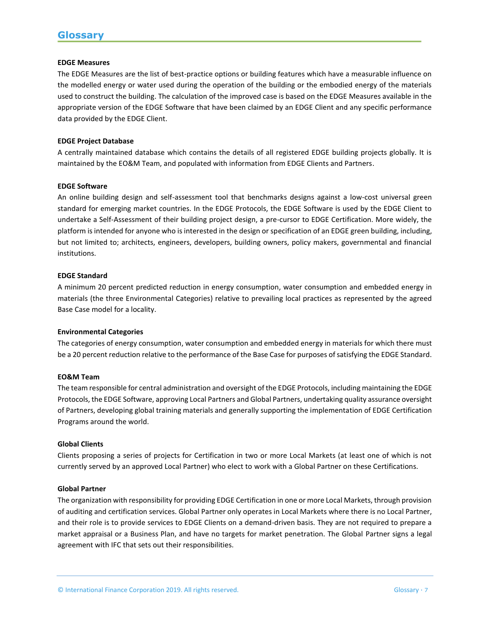#### **EDGE Measures**

The EDGE Measures are the list of best-practice options or building features which have a measurable influence on the modelled energy or water used during the operation of the building or the embodied energy of the materials used to construct the building. The calculation of the improved case is based on the EDGE Measures available in the appropriate version of the EDGE Software that have been claimed by an EDGE Client and any specific performance data provided by the EDGE Client.

#### **EDGE Project Database**

A centrally maintained database which contains the details of all registered EDGE building projects globally. It is maintained by the EO&M Team, and populated with information from EDGE Clients and Partners.

#### **EDGE Software**

An online building design and self-assessment tool that benchmarks designs against a low-cost universal green standard for emerging market countries. In the EDGE Protocols, the EDGE Software is used by the EDGE Client to undertake a Self-Assessment of their building project design, a pre-cursor to EDGE Certification. More widely, the platform is intended for anyone who is interested in the design or specification of an EDGE green building, including, but not limited to; architects, engineers, developers, building owners, policy makers, governmental and financial institutions.

#### **EDGE Standard**

A minimum 20 percent predicted reduction in energy consumption, water consumption and embedded energy in materials (the three Environmental Categories) relative to prevailing local practices as represented by the agreed Base Case model for a locality.

#### **Environmental Categories**

The categories of energy consumption, water consumption and embedded energy in materials for which there must be a 20 percent reduction relative to the performance of the Base Case for purposes of satisfying the EDGE Standard.

#### **EO&M Team**

The team responsible for central administration and oversight of the EDGE Protocols, including maintaining the EDGE Protocols, the EDGE Software, approving Local Partners and Global Partners, undertaking quality assurance oversight of Partners, developing global training materials and generally supporting the implementation of EDGE Certification Programs around the world.

#### **Global Clients**

Clients proposing a series of projects for Certification in two or more Local Markets (at least one of which is not currently served by an approved Local Partner) who elect to work with a Global Partner on these Certifications.

#### **Global Partner**

The organization with responsibility for providing EDGE Certification in one or more Local Markets, through provision of auditing and certification services. Global Partner only operates in Local Markets where there is no Local Partner, and their role is to provide services to EDGE Clients on a demand-driven basis. They are not required to prepare a market appraisal or a Business Plan, and have no targets for market penetration. The Global Partner signs a legal agreement with IFC that sets out their responsibilities.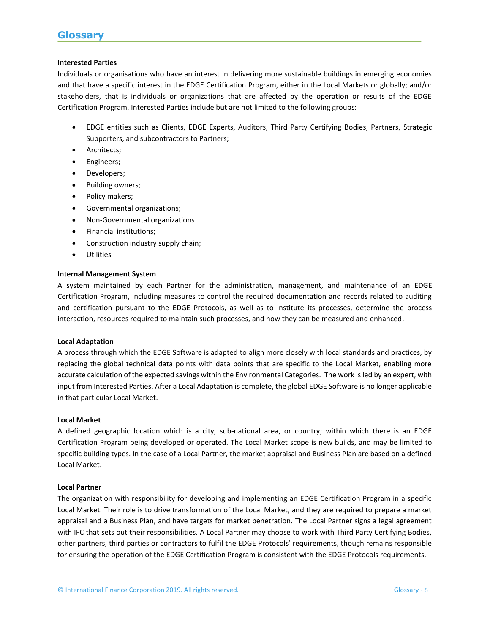#### **Interested Parties**

Individuals or organisations who have an interest in delivering more sustainable buildings in emerging economies and that have a specific interest in the EDGE Certification Program, either in the Local Markets or globally; and/or stakeholders, that is individuals or organizations that are affected by the operation or results of the EDGE Certification Program. Interested Parties include but are not limited to the following groups:

- EDGE entities such as Clients, EDGE Experts, Auditors, Third Party Certifying Bodies, Partners, Strategic Supporters, and subcontractors to Partners;
- Architects;
- Engineers;
- Developers;
- Building owners;
- Policy makers;
- Governmental organizations;
- Non-Governmental organizations
- Financial institutions;
- Construction industry supply chain;
- Utilities

#### **Internal Management System**

A system maintained by each Partner for the administration, management, and maintenance of an EDGE Certification Program, including measures to control the required documentation and records related to auditing and certification pursuant to the EDGE Protocols, as well as to institute its processes, determine the process interaction, resources required to maintain such processes, and how they can be measured and enhanced.

#### **Local Adaptation**

A process through which the EDGE Software is adapted to align more closely with local standards and practices, by replacing the global technical data points with data points that are specific to the Local Market, enabling more accurate calculation of the expected savings within the Environmental Categories. The work is led by an expert, with input from Interested Parties. After a Local Adaptation is complete, the global EDGE Software is no longer applicable in that particular Local Market.

#### **Local Market**

A defined geographic location which is a city, sub-national area, or country; within which there is an EDGE Certification Program being developed or operated. The Local Market scope is new builds, and may be limited to specific building types. In the case of a Local Partner, the market appraisal and Business Plan are based on a defined Local Market.

#### **Local Partner**

The organization with responsibility for developing and implementing an EDGE Certification Program in a specific Local Market. Their role is to drive transformation of the Local Market, and they are required to prepare a market appraisal and a Business Plan, and have targets for market penetration. The Local Partner signs a legal agreement with IFC that sets out their responsibilities. A Local Partner may choose to work with Third Party Certifying Bodies, other partners, third parties or contractors to fulfil the EDGE Protocols' requirements, though remains responsible for ensuring the operation of the EDGE Certification Program is consistent with the EDGE Protocols requirements.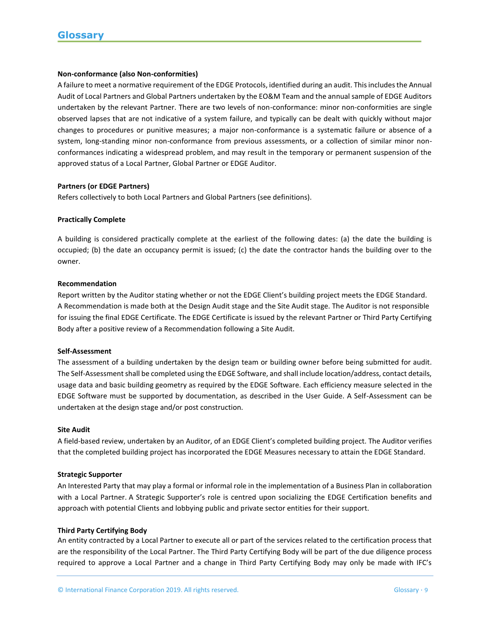## **Non-conformance (also Non-conformities)**

A failure to meet a normative requirement of the EDGE Protocols, identified during an audit. This includes the Annual Audit of Local Partners and Global Partners undertaken by the EO&M Team and the annual sample of EDGE Auditors undertaken by the relevant Partner. There are two levels of non-conformance: minor non-conformities are single observed lapses that are not indicative of a system failure, and typically can be dealt with quickly without major changes to procedures or punitive measures; a major non-conformance is a systematic failure or absence of a system, long-standing minor non-conformance from previous assessments, or a collection of similar minor nonconformances indicating a widespread problem, and may result in the temporary or permanent suspension of the approved status of a Local Partner, Global Partner or EDGE Auditor.

#### **Partners (or EDGE Partners)**

Refers collectively to both Local Partners and Global Partners (see definitions).

# **Practically Complete**

A building is considered practically complete at the earliest of the following dates: (a) the date the building is occupied; (b) the date an occupancy permit is issued; (c) the date the contractor hands the building over to the owner.

#### **Recommendation**

Report written by the Auditor stating whether or not the EDGE Client's building project meets the EDGE Standard. A Recommendation is made both at the Design Audit stage and the Site Audit stage. The Auditor is not responsible for issuing the final EDGE Certificate. The EDGE Certificate is issued by the relevant Partner or Third Party Certifying Body after a positive review of a Recommendation following a Site Audit.

#### **Self-Assessment**

The assessment of a building undertaken by the design team or building owner before being submitted for audit. The Self-Assessment shall be completed using the EDGE Software, and shall include location/address, contact details, usage data and basic building geometry as required by the EDGE Software. Each efficiency measure selected in the EDGE Software must be supported by documentation, as described in the User Guide. A Self-Assessment can be undertaken at the design stage and/or post construction.

#### **Site Audit**

A field-based review, undertaken by an Auditor, of an EDGE Client's completed building project. The Auditor verifies that the completed building project has incorporated the EDGE Measures necessary to attain the EDGE Standard.

#### **Strategic Supporter**

An Interested Party that may play a formal or informal role in the implementation of a Business Plan in collaboration with a Local Partner. A Strategic Supporter's role is centred upon socializing the EDGE Certification benefits and approach with potential Clients and lobbying public and private sector entities for their support.

#### **Third Party Certifying Body**

An entity contracted by a Local Partner to execute all or part of the services related to the certification process that are the responsibility of the Local Partner. The Third Party Certifying Body will be part of the due diligence process required to approve a Local Partner and a change in Third Party Certifying Body may only be made with IFC's